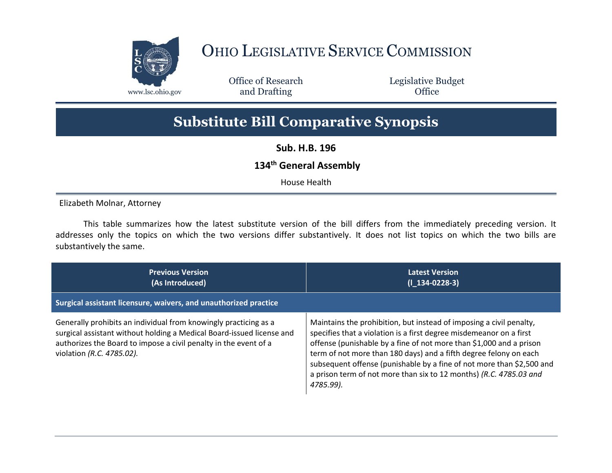

## OHIO LEGISLATIVE SERVICE COMMISSION

Office of Research www.lsc.ohio.gov **and Drafting Office** 

Legislative Budget

## **Substitute Bill Comparative Synopsis**

**Sub. H.B. 196**

## **134th General Assembly**

House Health

Elizabeth Molnar, Attorney

This table summarizes how the latest substitute version of the bill differs from the immediately preceding version. It addresses only the topics on which the two versions differ substantively. It does not list topics on which the two bills are substantively the same.

| <b>Previous Version</b><br>(As Introduced)                                                                                                                                                                                                 | <b>Latest Version</b><br>$(I_134-0228-3)$                                                                                                                                                                                                                                                                                                                                                                                                          |
|--------------------------------------------------------------------------------------------------------------------------------------------------------------------------------------------------------------------------------------------|----------------------------------------------------------------------------------------------------------------------------------------------------------------------------------------------------------------------------------------------------------------------------------------------------------------------------------------------------------------------------------------------------------------------------------------------------|
| Surgical assistant licensure, waivers, and unauthorized practice                                                                                                                                                                           |                                                                                                                                                                                                                                                                                                                                                                                                                                                    |
| Generally prohibits an individual from knowingly practicing as a<br>surgical assistant without holding a Medical Board-issued license and<br>authorizes the Board to impose a civil penalty in the event of a<br>violation (R.C. 4785.02). | Maintains the prohibition, but instead of imposing a civil penalty,<br>specifies that a violation is a first degree misdemeanor on a first<br>offense (punishable by a fine of not more than \$1,000 and a prison<br>term of not more than 180 days) and a fifth degree felony on each<br>subsequent offense (punishable by a fine of not more than \$2,500 and<br>a prison term of not more than six to 12 months) (R.C. 4785.03 and<br>4785.99). |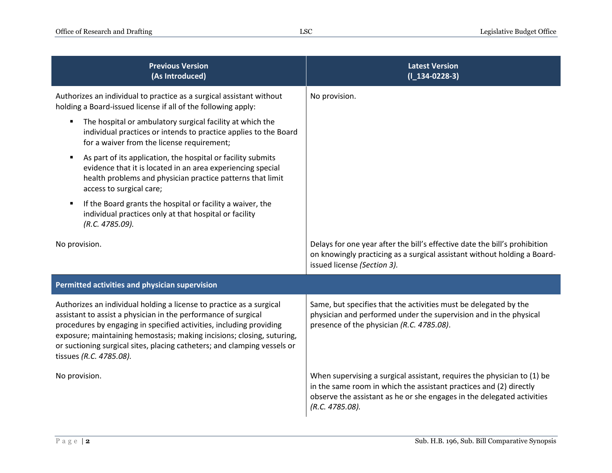| <b>Previous Version</b><br>(As Introduced)                                                                                                                                                                                                                                                                                                                                                     | <b>Latest Version</b><br>$(1_134-0228-3)$                                                                                                                                                                                                  |  |
|------------------------------------------------------------------------------------------------------------------------------------------------------------------------------------------------------------------------------------------------------------------------------------------------------------------------------------------------------------------------------------------------|--------------------------------------------------------------------------------------------------------------------------------------------------------------------------------------------------------------------------------------------|--|
| Authorizes an individual to practice as a surgical assistant without<br>holding a Board-issued license if all of the following apply:                                                                                                                                                                                                                                                          | No provision.                                                                                                                                                                                                                              |  |
| The hospital or ambulatory surgical facility at which the<br>individual practices or intends to practice applies to the Board<br>for a waiver from the license requirement;                                                                                                                                                                                                                    |                                                                                                                                                                                                                                            |  |
| As part of its application, the hospital or facility submits<br>٠<br>evidence that it is located in an area experiencing special<br>health problems and physician practice patterns that limit<br>access to surgical care;                                                                                                                                                                     |                                                                                                                                                                                                                                            |  |
| If the Board grants the hospital or facility a waiver, the<br>individual practices only at that hospital or facility<br>(R.C. 4785.09).                                                                                                                                                                                                                                                        |                                                                                                                                                                                                                                            |  |
| No provision.                                                                                                                                                                                                                                                                                                                                                                                  | Delays for one year after the bill's effective date the bill's prohibition<br>on knowingly practicing as a surgical assistant without holding a Board-<br>issued license (Section 3).                                                      |  |
| Permitted activities and physician supervision                                                                                                                                                                                                                                                                                                                                                 |                                                                                                                                                                                                                                            |  |
| Authorizes an individual holding a license to practice as a surgical<br>assistant to assist a physician in the performance of surgical<br>procedures by engaging in specified activities, including providing<br>exposure; maintaining hemostasis; making incisions; closing, suturing,<br>or suctioning surgical sites, placing catheters; and clamping vessels or<br>tissues (R.C. 4785.08). | Same, but specifies that the activities must be delegated by the<br>physician and performed under the supervision and in the physical<br>presence of the physician (R.C. 4785.08).                                                         |  |
| No provision.                                                                                                                                                                                                                                                                                                                                                                                  | When supervising a surgical assistant, requires the physician to (1) be<br>in the same room in which the assistant practices and (2) directly<br>observe the assistant as he or she engages in the delegated activities<br>(R.C. 4785.08). |  |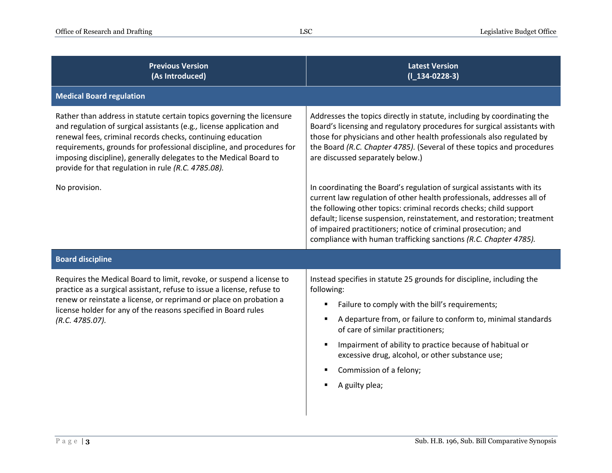| <b>Previous Version</b><br>(As Introduced)                                                                                                                                                                                                                                                                                                                                                                        | <b>Latest Version</b><br>$(1_134-0228-3)$                                                                                                                                                                                                                                                                                                                                                                                              |
|-------------------------------------------------------------------------------------------------------------------------------------------------------------------------------------------------------------------------------------------------------------------------------------------------------------------------------------------------------------------------------------------------------------------|----------------------------------------------------------------------------------------------------------------------------------------------------------------------------------------------------------------------------------------------------------------------------------------------------------------------------------------------------------------------------------------------------------------------------------------|
| <b>Medical Board regulation</b>                                                                                                                                                                                                                                                                                                                                                                                   |                                                                                                                                                                                                                                                                                                                                                                                                                                        |
| Rather than address in statute certain topics governing the licensure<br>and regulation of surgical assistants (e.g., license application and<br>renewal fees, criminal records checks, continuing education<br>requirements, grounds for professional discipline, and procedures for<br>imposing discipline), generally delegates to the Medical Board to<br>provide for that regulation in rule (R.C. 4785.08). | Addresses the topics directly in statute, including by coordinating the<br>Board's licensing and regulatory procedures for surgical assistants with<br>those for physicians and other health professionals also regulated by<br>the Board (R.C. Chapter 4785). (Several of these topics and procedures<br>are discussed separately below.)                                                                                             |
| No provision.                                                                                                                                                                                                                                                                                                                                                                                                     | In coordinating the Board's regulation of surgical assistants with its<br>current law regulation of other health professionals, addresses all of<br>the following other topics: criminal records checks; child support<br>default; license suspension, reinstatement, and restoration; treatment<br>of impaired practitioners; notice of criminal prosecution; and<br>compliance with human trafficking sanctions (R.C. Chapter 4785). |
| <b>Board discipline</b>                                                                                                                                                                                                                                                                                                                                                                                           |                                                                                                                                                                                                                                                                                                                                                                                                                                        |
| Requires the Medical Board to limit, revoke, or suspend a license to<br>practice as a surgical assistant, refuse to issue a license, refuse to<br>renew or reinstate a license, or reprimand or place on probation a<br>license holder for any of the reasons specified in Board rules<br>(R.C. 4785.07).                                                                                                         | Instead specifies in statute 25 grounds for discipline, including the<br>following:<br>Failure to comply with the bill's requirements;<br>٠<br>A departure from, or failure to conform to, minimal standards<br>of care of similar practitioners;<br>Impairment of ability to practice because of habitual or<br>excessive drug, alcohol, or other substance use;<br>Commission of a felony;<br>A guilty plea;                         |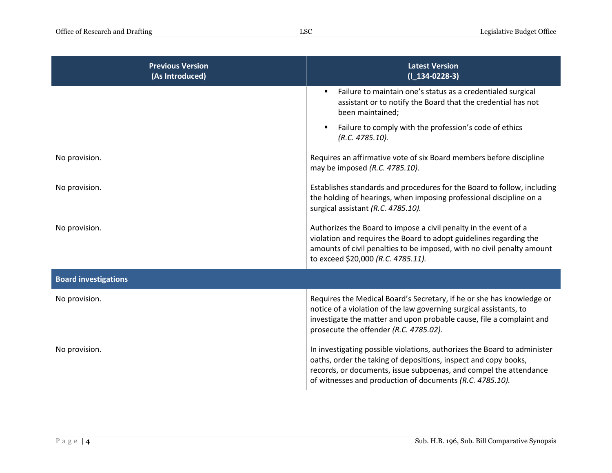| <b>Previous Version</b><br>(As Introduced) | <b>Latest Version</b><br>$(1_134-0228-3)$                                                                                                                                                                                                                                    |
|--------------------------------------------|------------------------------------------------------------------------------------------------------------------------------------------------------------------------------------------------------------------------------------------------------------------------------|
|                                            | Failure to maintain one's status as a credentialed surgical<br>٠<br>assistant or to notify the Board that the credential has not<br>been maintained;                                                                                                                         |
|                                            | Failure to comply with the profession's code of ethics<br>٠<br>(R.C. 4785.10).                                                                                                                                                                                               |
| No provision.                              | Requires an affirmative vote of six Board members before discipline<br>may be imposed (R.C. 4785.10).                                                                                                                                                                        |
| No provision.                              | Establishes standards and procedures for the Board to follow, including<br>the holding of hearings, when imposing professional discipline on a<br>surgical assistant (R.C. 4785.10).                                                                                         |
| No provision.                              | Authorizes the Board to impose a civil penalty in the event of a<br>violation and requires the Board to adopt guidelines regarding the<br>amounts of civil penalties to be imposed, with no civil penalty amount<br>to exceed \$20,000 (R.C. 4785.11).                       |
| <b>Board investigations</b>                |                                                                                                                                                                                                                                                                              |
| No provision.                              | Requires the Medical Board's Secretary, if he or she has knowledge or<br>notice of a violation of the law governing surgical assistants, to<br>investigate the matter and upon probable cause, file a complaint and<br>prosecute the offender (R.C. 4785.02).                |
| No provision.                              | In investigating possible violations, authorizes the Board to administer<br>oaths, order the taking of depositions, inspect and copy books,<br>records, or documents, issue subpoenas, and compel the attendance<br>of witnesses and production of documents (R.C. 4785.10). |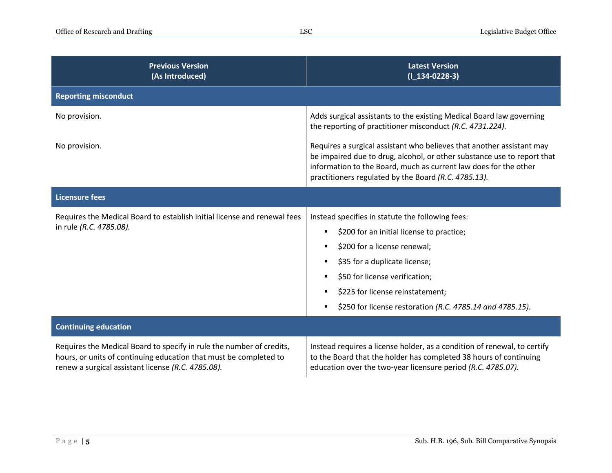| <b>Previous Version</b><br>(As Introduced)                                                                                                                                                      | <b>Latest Version</b><br>$(I_134-0228-3)$                                                                                                                                                                                                                                                         |
|-------------------------------------------------------------------------------------------------------------------------------------------------------------------------------------------------|---------------------------------------------------------------------------------------------------------------------------------------------------------------------------------------------------------------------------------------------------------------------------------------------------|
| <b>Reporting misconduct</b>                                                                                                                                                                     |                                                                                                                                                                                                                                                                                                   |
| No provision.                                                                                                                                                                                   | Adds surgical assistants to the existing Medical Board law governing<br>the reporting of practitioner misconduct (R.C. 4731.224).                                                                                                                                                                 |
| No provision.                                                                                                                                                                                   | Requires a surgical assistant who believes that another assistant may<br>be impaired due to drug, alcohol, or other substance use to report that<br>information to the Board, much as current law does for the other<br>practitioners regulated by the Board (R.C. 4785.13).                      |
| <b>Licensure fees</b>                                                                                                                                                                           |                                                                                                                                                                                                                                                                                                   |
| Requires the Medical Board to establish initial license and renewal fees<br>in rule (R.C. 4785.08).                                                                                             | Instead specifies in statute the following fees:<br>\$200 for an initial license to practice;<br>\$200 for a license renewal;<br>\$35 for a duplicate license;<br>\$50 for license verification;<br>\$225 for license reinstatement;<br>\$250 for license restoration (R.C. 4785.14 and 4785.15). |
| <b>Continuing education</b>                                                                                                                                                                     |                                                                                                                                                                                                                                                                                                   |
| Requires the Medical Board to specify in rule the number of credits,<br>hours, or units of continuing education that must be completed to<br>renew a surgical assistant license (R.C. 4785.08). | Instead requires a license holder, as a condition of renewal, to certify<br>to the Board that the holder has completed 38 hours of continuing<br>education over the two-year licensure period (R.C. 4785.07).                                                                                     |